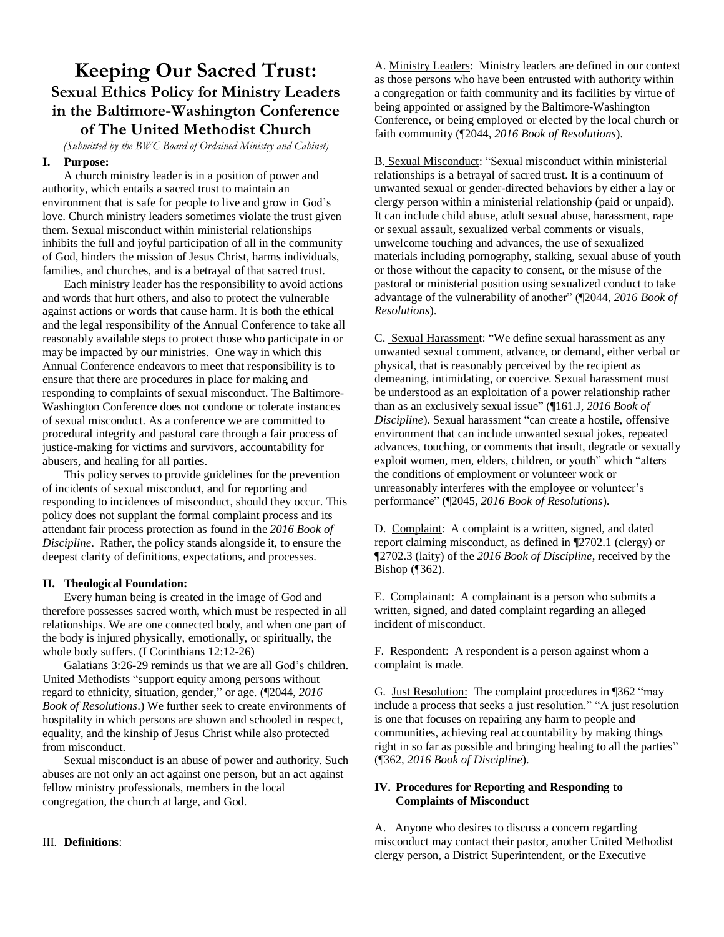# **Keeping Our Sacred Trust: Sexual Ethics Policy for Ministry Leaders in the Baltimore-Washington Conference of The United Methodist Church**

*(Submitted by the BWC Board of Ordained Ministry and Cabinet)*

#### **I. Purpose:**

A church ministry leader is in a position of power and authority, which entails a sacred trust to maintain an environment that is safe for people to live and grow in God's love. Church ministry leaders sometimes violate the trust given them. Sexual misconduct within ministerial relationships inhibits the full and joyful participation of all in the community of God, hinders the mission of Jesus Christ, harms individuals, families, and churches, and is a betrayal of that sacred trust.

Each ministry leader has the responsibility to avoid actions and words that hurt others, and also to protect the vulnerable against actions or words that cause harm. It is both the ethical and the legal responsibility of the Annual Conference to take all reasonably available steps to protect those who participate in or may be impacted by our ministries. One way in which this Annual Conference endeavors to meet that responsibility is to ensure that there are procedures in place for making and responding to complaints of sexual misconduct. The Baltimore-Washington Conference does not condone or tolerate instances of sexual misconduct. As a conference we are committed to procedural integrity and pastoral care through a fair process of justice-making for victims and survivors, accountability for abusers, and healing for all parties.

This policy serves to provide guidelines for the prevention of incidents of sexual misconduct, and for reporting and responding to incidences of misconduct, should they occur. This policy does not supplant the formal complaint process and its attendant fair process protection as found in the *2016 Book of Discipline*. Rather, the policy stands alongside it, to ensure the deepest clarity of definitions, expectations, and processes.

#### **II. Theological Foundation:**

Every human being is created in the image of God and therefore possesses sacred worth, which must be respected in all relationships. We are one connected body, and when one part of the body is injured physically, emotionally, or spiritually, the whole body suffers. (I Corinthians 12:12-26)

Galatians 3:26-29 reminds us that we are all God's children. United Methodists "support equity among persons without regard to ethnicity, situation, gender," or age. (¶2044, *2016 Book of Resolutions*.) We further seek to create environments of hospitality in which persons are shown and schooled in respect, equality, and the kinship of Jesus Christ while also protected from misconduct.

Sexual misconduct is an abuse of power and authority. Such abuses are not only an act against one person, but an act against fellow ministry professionals, members in the local congregation, the church at large, and God.

#### III. **Definitions**:

A. Ministry Leaders: Ministry leaders are defined in our context as those persons who have been entrusted with authority within a congregation or faith community and its facilities by virtue of being appointed or assigned by the Baltimore-Washington Conference, or being employed or elected by the local church or faith community (¶2044, *2016 Book of Resolutions*).

B. Sexual Misconduct: "Sexual misconduct within ministerial relationships is a betrayal of sacred trust. It is a continuum of unwanted sexual or gender-directed behaviors by either a lay or clergy person within a ministerial relationship (paid or unpaid). It can include child abuse, adult sexual abuse, harassment, rape or sexual assault, sexualized verbal comments or visuals, unwelcome touching and advances, the use of sexualized materials including pornography, stalking, sexual abuse of youth or those without the capacity to consent, or the misuse of the pastoral or ministerial position using sexualized conduct to take advantage of the vulnerability of another" (¶2044, *2016 Book of Resolutions*).

C. Sexual Harassment: "We define sexual harassment as any unwanted sexual comment, advance, or demand, either verbal or physical, that is reasonably perceived by the recipient as demeaning, intimidating, or coercive. Sexual harassment must be understood as an exploitation of a power relationship rather than as an exclusively sexual issue" (¶161.J, *2016 Book of Discipline*). Sexual harassment "can create a hostile, offensive environment that can include unwanted sexual jokes, repeated advances, touching, or comments that insult, degrade or sexually exploit women, men, elders, children, or youth" which "alters the conditions of employment or volunteer work or unreasonably interferes with the employee or volunteer's performance" (¶2045, *2016 Book of Resolutions*).

D. Complaint: A complaint is a written, signed, and dated report claiming misconduct, as defined in ¶2702.1 (clergy) or ¶2702.3 (laity) of the *2016 Book of Discipline*, received by the Bishop (¶362).

E. Complainant: A complainant is a person who submits a written, signed, and dated complaint regarding an alleged incident of misconduct.

F. Respondent: A respondent is a person against whom a complaint is made.

G. Just Resolution: The complaint procedures in ¶362 "may include a process that seeks a just resolution." "A just resolution is one that focuses on repairing any harm to people and communities, achieving real accountability by making things right in so far as possible and bringing healing to all the parties" (¶362, *2016 Book of Discipline*).

## **IV. Procedures for Reporting and Responding to Complaints of Misconduct**

A. Anyone who desires to discuss a concern regarding misconduct may contact their pastor, another United Methodist clergy person, a District Superintendent, or the Executive